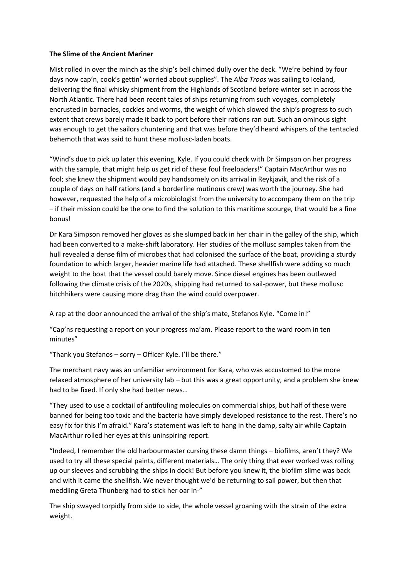## **The Slime of the Ancient Mariner**

Mist rolled in over the minch as the ship's bell chimed dully over the deck. "We're behind by four days now cap'n, cook's gettin' worried about supplies". The *Alba Troos* was sailing to Iceland, delivering the final whisky shipment from the Highlands of Scotland before winter set in across the North Atlantic. There had been recent tales of ships returning from such voyages, completely encrusted in barnacles, cockles and worms, the weight of which slowed the ship's progress to such extent that crews barely made it back to port before their rations ran out. Such an ominous sight was enough to get the sailors chuntering and that was before they'd heard whispers of the tentacled behemoth that was said to hunt these mollusc-laden boats.

"Wind's due to pick up later this evening, Kyle. If you could check with Dr Simpson on her progress with the sample, that might help us get rid of these foul freeloaders!" Captain MacArthur was no fool; she knew the shipment would pay handsomely on its arrival in Reykjavik, and the risk of a couple of days on half rations (and a borderline mutinous crew) was worth the journey. She had however, requested the help of a microbiologist from the university to accompany them on the trip – if their mission could be the one to find the solution to this maritime scourge, that would be a fine bonus!

Dr Kara Simpson removed her gloves as she slumped back in her chair in the galley of the ship, which had been converted to a make-shift laboratory. Her studies of the mollusc samples taken from the hull revealed a dense film of microbes that had colonised the surface of the boat, providing a sturdy foundation to which larger, heavier marine life had attached. These shellfish were adding so much weight to the boat that the vessel could barely move. Since diesel engines has been outlawed following the climate crisis of the 2020s, shipping had returned to sail-power, but these mollusc hitchhikers were causing more drag than the wind could overpower.

A rap at the door announced the arrival of the ship's mate, Stefanos Kyle. "Come in!"

"Cap'ns requesting a report on your progress ma'am. Please report to the ward room in ten minutes"

"Thank you Stefanos – sorry – Officer Kyle. I'll be there."

The merchant navy was an unfamiliar environment for Kara, who was accustomed to the more relaxed atmosphere of her university lab – but this was a great opportunity, and a problem she knew had to be fixed. If only she had better news…

"They used to use a cocktail of antifouling molecules on commercial ships, but half of these were banned for being too toxic and the bacteria have simply developed resistance to the rest. There's no easy fix for this I'm afraid." Kara's statement was left to hang in the damp, salty air while Captain MacArthur rolled her eyes at this uninspiring report.

"Indeed, I remember the old harbourmaster cursing these damn things – biofilms, aren't they? We used to try all these special paints, different materials… The only thing that ever worked was rolling up our sleeves and scrubbing the ships in dock! But before you knew it, the biofilm slime was back and with it came the shellfish. We never thought we'd be returning to sail power, but then that meddling Greta Thunberg had to stick her oar in-"

The ship swayed torpidly from side to side, the whole vessel groaning with the strain of the extra weight.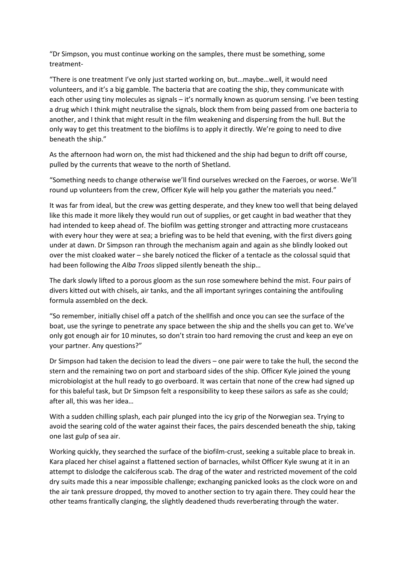"Dr Simpson, you must continue working on the samples, there must be something, some treatment-

"There is one treatment I've only just started working on, but…maybe…well, it would need volunteers, and it's a big gamble. The bacteria that are coating the ship, they communicate with each other using tiny molecules as signals – it's normally known as quorum sensing. I've been testing a drug which I think might neutralise the signals, block them from being passed from one bacteria to another, and I think that might result in the film weakening and dispersing from the hull. But the only way to get this treatment to the biofilms is to apply it directly. We're going to need to dive beneath the ship."

As the afternoon had worn on, the mist had thickened and the ship had begun to drift off course, pulled by the currents that weave to the north of Shetland.

"Something needs to change otherwise we'll find ourselves wrecked on the Faeroes, or worse. We'll round up volunteers from the crew, Officer Kyle will help you gather the materials you need."

It was far from ideal, but the crew was getting desperate, and they knew too well that being delayed like this made it more likely they would run out of supplies, or get caught in bad weather that they had intended to keep ahead of. The biofilm was getting stronger and attracting more crustaceans with every hour they were at sea; a briefing was to be held that evening, with the first divers going under at dawn. Dr Simpson ran through the mechanism again and again as she blindly looked out over the mist cloaked water – she barely noticed the flicker of a tentacle as the colossal squid that had been following the *Alba Troos* slipped silently beneath the ship…

The dark slowly lifted to a porous gloom as the sun rose somewhere behind the mist. Four pairs of divers kitted out with chisels, air tanks, and the all important syringes containing the antifouling formula assembled on the deck.

"So remember, initially chisel off a patch of the shellfish and once you can see the surface of the boat, use the syringe to penetrate any space between the ship and the shells you can get to. We've only got enough air for 10 minutes, so don't strain too hard removing the crust and keep an eye on your partner. Any questions?"

Dr Simpson had taken the decision to lead the divers – one pair were to take the hull, the second the stern and the remaining two on port and starboard sides of the ship. Officer Kyle joined the young microbiologist at the hull ready to go overboard. It was certain that none of the crew had signed up for this baleful task, but Dr Simpson felt a responsibility to keep these sailors as safe as she could; after all, this was her idea…

With a sudden chilling splash, each pair plunged into the icy grip of the Norwegian sea. Trying to avoid the searing cold of the water against their faces, the pairs descended beneath the ship, taking one last gulp of sea air.

Working quickly, they searched the surface of the biofilm-crust, seeking a suitable place to break in. Kara placed her chisel against a flattened section of barnacles, whilst Officer Kyle swung at it in an attempt to dislodge the calciferous scab. The drag of the water and restricted movement of the cold dry suits made this a near impossible challenge; exchanging panicked looks as the clock wore on and the air tank pressure dropped, thy moved to another section to try again there. They could hear the other teams frantically clanging, the slightly deadened thuds reverberating through the water.